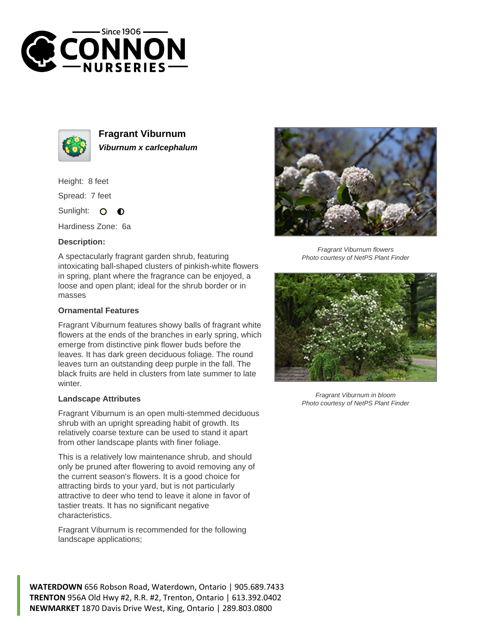



**Fragrant Viburnum Viburnum x carlcephalum**

Height: 8 feet

Spread: 7 feet

Sunlight: O  $\bullet$ 

Hardiness Zone: 6a

## **Description:**

A spectacularly fragrant garden shrub, featuring intoxicating ball-shaped clusters of pinkish-white flowers in spring, plant where the fragrance can be enjoyed, a loose and open plant; ideal for the shrub border or in masses

## **Ornamental Features**

Fragrant Viburnum features showy balls of fragrant white flowers at the ends of the branches in early spring, which emerge from distinctive pink flower buds before the leaves. It has dark green deciduous foliage. The round leaves turn an outstanding deep purple in the fall. The black fruits are held in clusters from late summer to late winter.

## **Landscape Attributes**

Fragrant Viburnum is an open multi-stemmed deciduous shrub with an upright spreading habit of growth. Its relatively coarse texture can be used to stand it apart from other landscape plants with finer foliage.

This is a relatively low maintenance shrub, and should only be pruned after flowering to avoid removing any of the current season's flowers. It is a good choice for attracting birds to your yard, but is not particularly attractive to deer who tend to leave it alone in favor of tastier treats. It has no significant negative characteristics.

Fragrant Viburnum is recommended for the following landscape applications;





Fragrant Viburnum flowers Photo courtesy of NetPS Plant Finder



Fragrant Viburnum in bloom Photo courtesy of NetPS Plant Finder